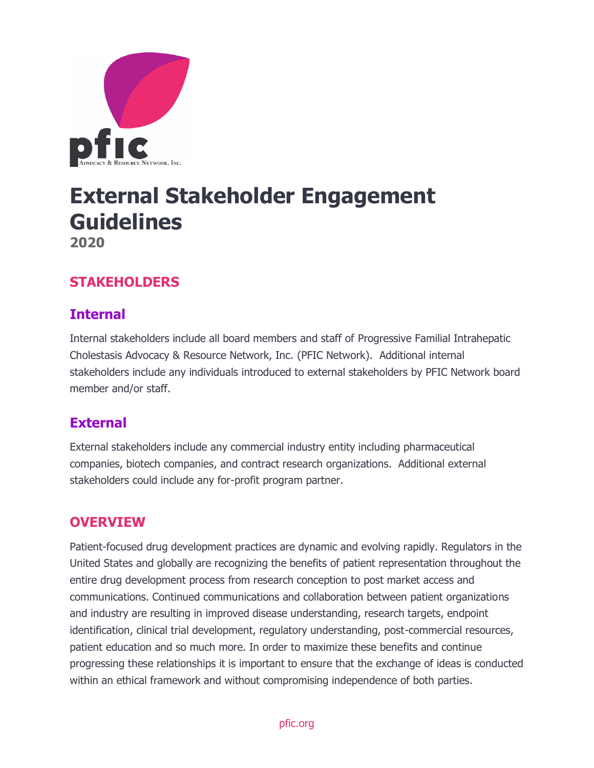

# **External Stakeholder Engagement Guidelines 2020**

## **STAKEHOLDERS**

## **Internal**

Internal stakeholders include all board members and staff of Progressive Familial Intrahepatic Cholestasis Advocacy & Resource Network, Inc. (PFIC Network). Additional internal stakeholders include any individuals introduced to external stakeholders by PFIC Network board member and/or staff.

## **External**

External stakeholders include any commercial industry entity including pharmaceutical companies, biotech companies, and contract research organizations. Additional external stakeholders could include any for-profit program partner.

#### **OVERVIEW**

Patient-focused drug development practices are dynamic and evolving rapidly. Regulators in the United States and globally are recognizing the benefits of patient representation throughout the entire drug development process from research conception to post market access and communications. Continued communications and collaboration between patient organizations and industry are resulting in improved disease understanding, research targets, endpoint identification, clinical trial development, regulatory understanding, post-commercial resources, patient education and so much more. In order to maximize these benefits and continue progressing these relationships it is important to ensure that the exchange of ideas is conducted within an ethical framework and without compromising independence of both parties.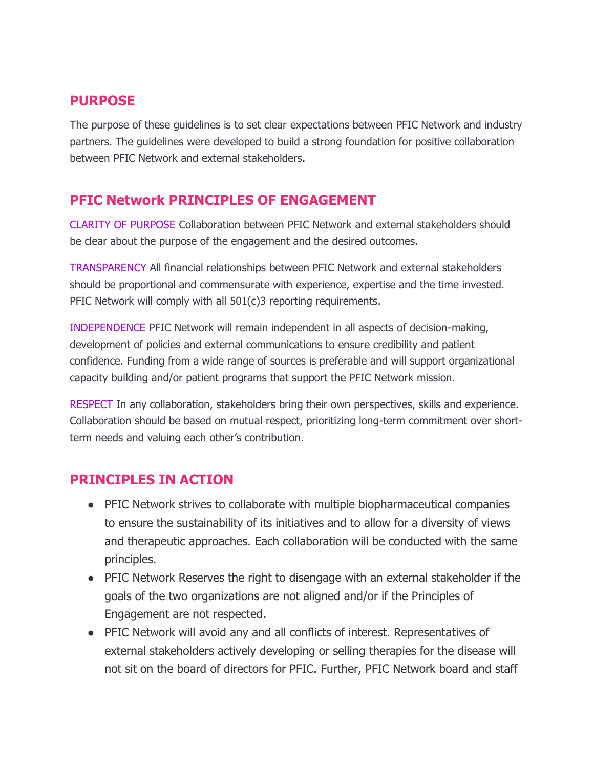## **PURPOSE**

The purpose of these guidelines is to set clear expectations between PFIC Network and industry partners. The guidelines were developed to build a strong foundation for positive collaboration between PFIC Network and external stakeholders.

## **PFIC Network PRINCIPLES OF ENGAGEMENT**

CLARITY OF PURPOSE Collaboration between PFIC Network and external stakeholders should be clear about the purpose of the engagement and the desired outcomes.

TRANSPARENCY All financial relationships between PFIC Network and external stakeholders should be proportional and commensurate with experience, expertise and the time invested. PFIC Network will comply with all 501(c)3 reporting requirements.

INDEPENDENCE PFIC Network will remain independent in all aspects of decision-making, development of policies and external communications to ensure credibility and patient confidence. Funding from a wide range of sources is preferable and will support organizational capacity building and/or patient programs that support the PFIC Network mission.

RESPECT In any collaboration, stakeholders bring their own perspectives, skills and experience. Collaboration should be based on mutual respect, prioritizing long-term commitment over shortterm needs and valuing each other's contribution.

## **PRINCIPLES IN ACTION**

- PFIC Network strives to collaborate with multiple biopharmaceutical companies to ensure the sustainability of its initiatives and to allow for a diversity of views and therapeutic approaches. Each collaboration will be conducted with the same principles.
- PFIC Network Reserves the right to disengage with an external stakeholder if the goals of the two organizations are not aligned and/or if the Principles of Engagement are not respected.
- PFIC Network will avoid any and all conflicts of interest. Representatives of external stakeholders actively developing or selling therapies for the disease will not sit on the board of directors for PFIC. Further, PFIC Network board and staff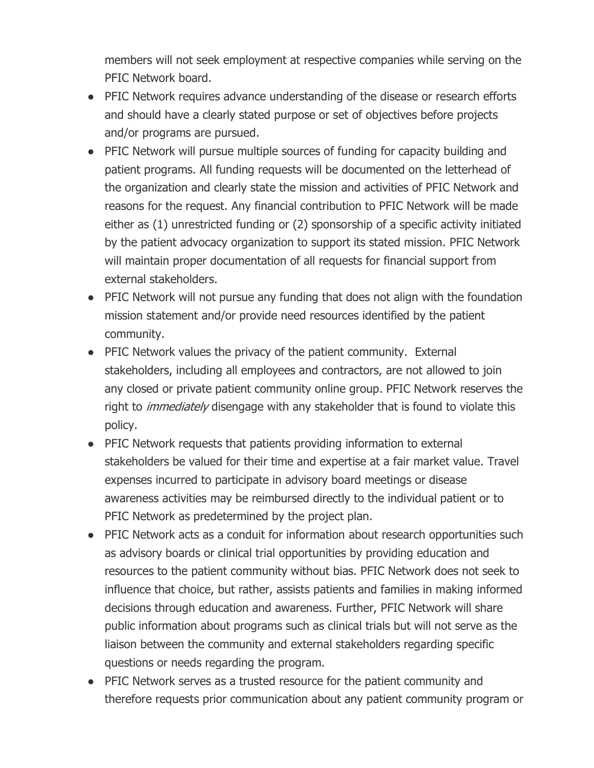members will not seek employment at respective companies while serving on the PFIC Network board.

- PFIC Network requires advance understanding of the disease or research efforts and should have a clearly stated purpose or set of objectives before projects and/or programs are pursued.
- PFIC Network will pursue multiple sources of funding for capacity building and patient programs. All funding requests will be documented on the letterhead of the organization and clearly state the mission and activities of PFIC Network and reasons for the request. Any financial contribution to PFIC Network will be made either as (1) unrestricted funding or (2) sponsorship of a specific activity initiated by the patient advocacy organization to support its stated mission. PFIC Network will maintain proper documentation of all requests for financial support from external stakeholders.
- PFIC Network will not pursue any funding that does not align with the foundation mission statement and/or provide need resources identified by the patient community.
- PFIC Network values the privacy of the patient community. External stakeholders, including all employees and contractors, are not allowed to join any closed or private patient community online group. PFIC Network reserves the right to *immediately* disengage with any stakeholder that is found to violate this policy.
- PFIC Network requests that patients providing information to external stakeholders be valued for their time and expertise at a fair market value. Travel expenses incurred to participate in advisory board meetings or disease awareness activities may be reimbursed directly to the individual patient or to PFIC Network as predetermined by the project plan.
- PFIC Network acts as a conduit for information about research opportunities such as advisory boards or clinical trial opportunities by providing education and resources to the patient community without bias. PFIC Network does not seek to influence that choice, but rather, assists patients and families in making informed decisions through education and awareness. Further, PFIC Network will share public information about programs such as clinical trials but will not serve as the liaison between the community and external stakeholders regarding specific questions or needs regarding the program.
- PFIC Network serves as a trusted resource for the patient community and therefore requests prior communication about any patient community program or